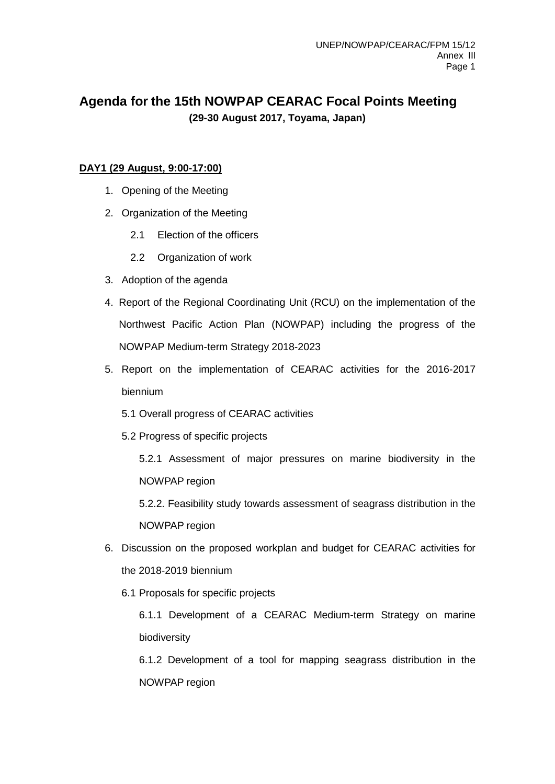## **Agenda for the 15th NOWPAP CEARAC Focal Points Meeting (29-30 August 2017, Toyama, Japan)**

## **DAY1 (29 August, 9:00-17:00)**

- 1. Opening of the Meeting
- 2. Organization of the Meeting
	- 2.1 Election of the officers
	- 2.2 Organization of work
- 3. Adoption of the agenda
- 4. Report of the Regional Coordinating Unit (RCU) on the implementation of the Northwest Pacific Action Plan (NOWPAP) including the progress of the NOWPAP Medium-term Strategy 2018-2023
- 5. Report on the implementation of CEARAC activities for the 2016-2017 biennium
	- 5.1 Overall progress of CEARAC activities
	- 5.2 Progress of specific projects
		- 5.2.1 Assessment of major pressures on marine biodiversity in the NOWPAP region
		- 5.2.2. Feasibility study towards assessment of seagrass distribution in the NOWPAP region
- 6. Discussion on the proposed workplan and budget for CEARAC activities for the 2018-2019 biennium
	- 6.1 Proposals for specific projects

6.1.1 Development of a CEARAC Medium-term Strategy on marine biodiversity

6.1.2 Development of a tool for mapping seagrass distribution in the NOWPAP region